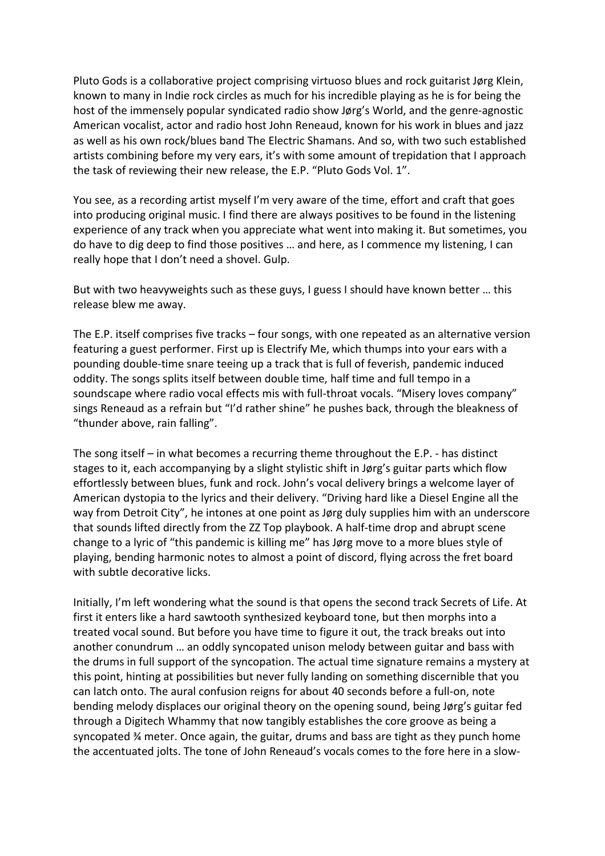Pluto Gods is a collaborative project comprising virtuoso blues and rock guitarist Jørg Klein, known to many in Indie rock circles as much for his incredible playing as he is for being the host of the immensely popular syndicated radio show Jørg's World, and the genre-agnostic American vocalist, actor and radio host John Reneaud, known for his work in blues and jazz as well as his own rock/blues band The Electric Shamans. And so, with two such established artists combining before my very ears, it's with some amount of trepidation that I approach the task of reviewing their new release, the E.P. "Pluto Gods Vol. 1".

You see, as a recording artist myself I'm very aware of the time, effort and craft that goes into producing original music. I find there are always positives to be found in the listening experience of any track when you appreciate what went into making it. But sometimes, you do have to dig deep to find those positives … and here, as I commence my listening, I can really hope that I don't need a shovel. Gulp.

But with two heavyweights such as these guys, I guess I should have known better … this release blew me away.

The E.P. itself comprises five tracks – four songs, with one repeated as an alternative version featuring a guest performer. First up is Electrify Me, which thumps into your ears with a pounding double-time snare teeing up a track that is full of feverish, pandemic induced oddity. The songs splits itself between double time, half time and full tempo in a soundscape where radio vocal effects mis with full-throat vocals. "Misery loves company" sings Reneaud as a refrain but "I'd rather shine" he pushes back, through the bleakness of "thunder above, rain falling".

The song itself – in what becomes a recurring theme throughout the E.P. - has distinct stages to it, each accompanying by a slight stylistic shift in Jørg's guitar parts which flow effortlessly between blues, funk and rock. John's vocal delivery brings a welcome layer of American dystopia to the lyrics and their delivery. "Driving hard like a Diesel Engine all the way from Detroit City", he intones at one point as Jørg duly supplies him with an underscore that sounds lifted directly from the ZZ Top playbook. A half-time drop and abrupt scene change to a lyric of "this pandemic is killing me" has Jørg move to a more blues style of playing, bending harmonic notes to almost a point of discord, flying across the fret board with subtle decorative licks.

Initially, I'm left wondering what the sound is that opens the second track Secrets of Life. At first it enters like a hard sawtooth synthesized keyboard tone, but then morphs into a treated vocal sound. But before you have time to figure it out, the track breaks out into another conundrum … an oddly syncopated unison melody between guitar and bass with the drums in full support of the syncopation. The actual time signature remains a mystery at this point, hinting at possibilities but never fully landing on something discernible that you can latch onto. The aural confusion reigns for about 40 seconds before a full-on, note bending melody displaces our original theory on the opening sound, being Jørg's guitar fed through a Digitech Whammy that now tangibly establishes the core groove as being a syncopated ¾ meter. Once again, the guitar, drums and bass are tight as they punch home the accentuated jolts. The tone of John Reneaud's vocals comes to the fore here in a slow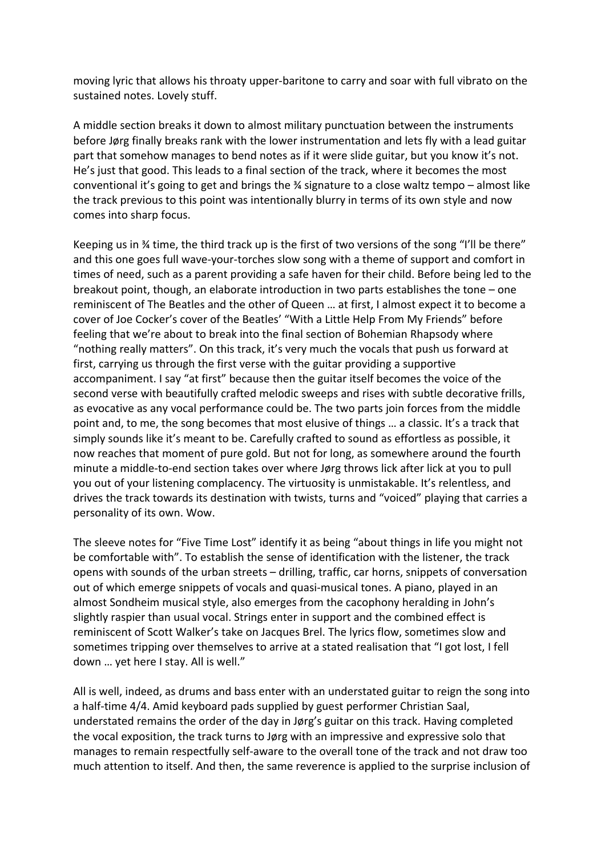moving lyric that allows his throaty upper-baritone to carry and soar with full vibrato on the sustained notes. Lovely stuff.

A middle section breaks it down to almost military punctuation between the instruments before Jørg finally breaks rank with the lower instrumentation and lets fly with a lead guitar part that somehow manages to bend notes as if it were slide guitar, but you know it's not. He's just that good. This leads to a final section of the track, where it becomes the most conventional it's going to get and brings the ¾ signature to a close waltz tempo – almost like the track previous to this point was intentionally blurry in terms of its own style and now comes into sharp focus.

Keeping us in  $\frac{3}{4}$  time, the third track up is the first of two versions of the song "I'll be there" and this one goes full wave-your-torches slow song with a theme of support and comfort in times of need, such as a parent providing a safe haven for their child. Before being led to the breakout point, though, an elaborate introduction in two parts establishes the tone – one reminiscent of The Beatles and the other of Queen … at first, I almost expect it to become a cover of Joe Cocker's cover of the Beatles' "With a Little Help From My Friends" before feeling that we're about to break into the final section of Bohemian Rhapsody where "nothing really matters". On this track, it's very much the vocals that push us forward at first, carrying us through the first verse with the guitar providing a supportive accompaniment. I say "at first" because then the guitar itself becomes the voice of the second verse with beautifully crafted melodic sweeps and rises with subtle decorative frills, as evocative as any vocal performance could be. The two parts join forces from the middle point and, to me, the song becomes that most elusive of things … a classic. It's a track that simply sounds like it's meant to be. Carefully crafted to sound as effortless as possible, it now reaches that moment of pure gold. But not for long, as somewhere around the fourth minute a middle-to-end section takes over where Jørg throws lick after lick at you to pull you out of your listening complacency. The virtuosity is unmistakable. It's relentless, and drives the track towards its destination with twists, turns and "voiced" playing that carries a personality of its own. Wow.

The sleeve notes for "Five Time Lost" identify it as being "about things in life you might not be comfortable with". To establish the sense of identification with the listener, the track opens with sounds of the urban streets – drilling, traffic, car horns, snippets of conversation out of which emerge snippets of vocals and quasi-musical tones. A piano, played in an almost Sondheim musical style, also emerges from the cacophony heralding in John's slightly raspier than usual vocal. Strings enter in support and the combined effect is reminiscent of Scott Walker's take on Jacques Brel. The lyrics flow, sometimes slow and sometimes tripping over themselves to arrive at a stated realisation that "I got lost, I fell down … yet here I stay. All is well."

All is well, indeed, as drums and bass enter with an understated guitar to reign the song into a half-time 4/4. Amid keyboard pads supplied by guest performer Christian Saal, understated remains the order of the day in Jørg's guitar on this track. Having completed the vocal exposition, the track turns to Jørg with an impressive and expressive solo that manages to remain respectfully self-aware to the overall tone of the track and not draw too much attention to itself. And then, the same reverence is applied to the surprise inclusion of